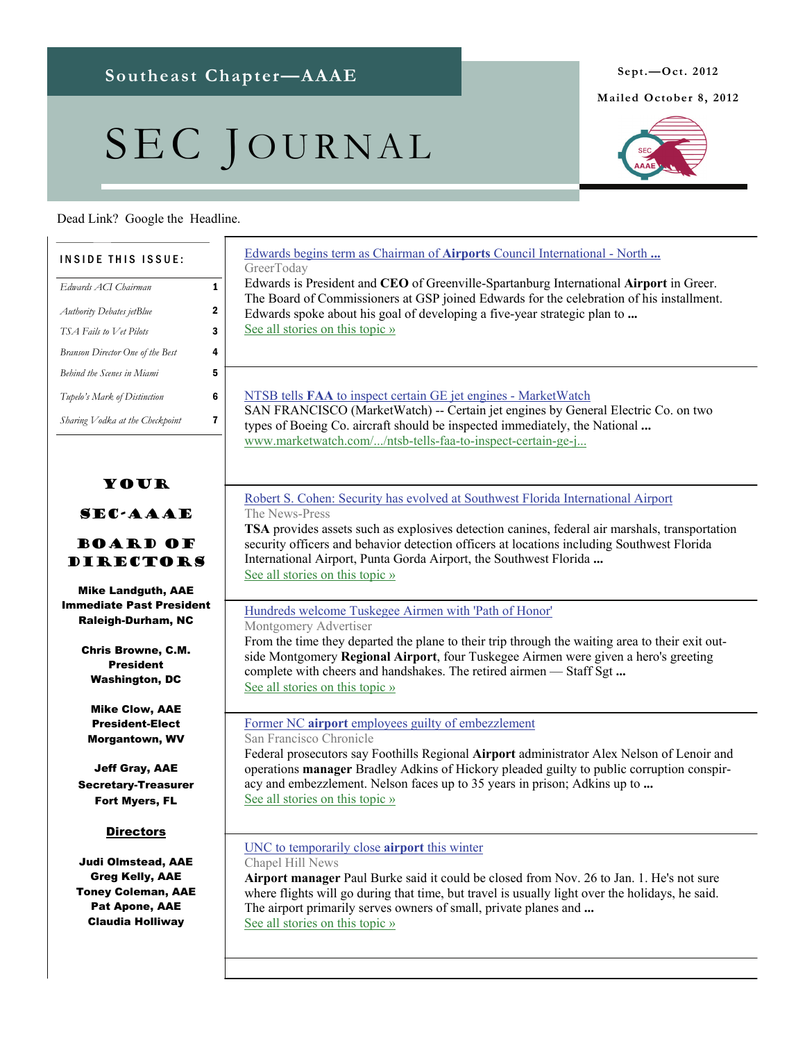# SEC JOURNAL

## Dead Link? Google the Headline.

# **Mailed October 8, 2012**



| <b>INSIDE THIS ISSUE:</b>                                                                                                     | Edwards begins term as Chairman of Airports Council International - North<br>GreerToday                                                                                                                                                                                                                                |
|-------------------------------------------------------------------------------------------------------------------------------|------------------------------------------------------------------------------------------------------------------------------------------------------------------------------------------------------------------------------------------------------------------------------------------------------------------------|
| $\mathbf{1}$<br>Edwards ACI Chairman                                                                                          | Edwards is President and CEO of Greenville-Spartanburg International Airport in Greer.                                                                                                                                                                                                                                 |
| 2<br>Authority Debates jetBlue                                                                                                | The Board of Commissioners at GSP joined Edwards for the celebration of his installment.<br>Edwards spoke about his goal of developing a five-year strategic plan to                                                                                                                                                   |
| 3<br>TSA Fails to Vet Pilots                                                                                                  | See all stories on this topic »                                                                                                                                                                                                                                                                                        |
| 4<br>Branson Director One of the Best                                                                                         |                                                                                                                                                                                                                                                                                                                        |
| 5<br>Behind the Scenes in Miami                                                                                               |                                                                                                                                                                                                                                                                                                                        |
| 6<br>Tupelo's Mark of Distinction                                                                                             | NTSB tells <b>FAA</b> to inspect certain GE jet engines - MarketWatch                                                                                                                                                                                                                                                  |
| 7<br>Sharing Vodka at the Checkpoint                                                                                          | SAN FRANCISCO (MarketWatch) -- Certain jet engines by General Electric Co. on two<br>types of Boeing Co. aircraft should be inspected immediately, the National<br>www.marketwatch.com//ntsb-tells-faa-to-inspect-certain-ge-j                                                                                         |
| YOUR                                                                                                                          | Robert S. Cohen: Security has evolved at Southwest Florida International Airport                                                                                                                                                                                                                                       |
| <b>SEC-AAAE</b><br><b>BOARD OF</b><br><b>DIRECTORS</b>                                                                        | The News-Press<br>TSA provides assets such as explosives detection canines, federal air marshals, transportation<br>security officers and behavior detection officers at locations including Southwest Florida<br>International Airport, Punta Gorda Airport, the Southwest Florida                                    |
| <b>Mike Landguth, AAE</b>                                                                                                     | See all stories on this topic »                                                                                                                                                                                                                                                                                        |
| <b>Immediate Past President</b><br><b>Raleigh-Durham, NC</b>                                                                  | Hundreds welcome Tuskegee Airmen with 'Path of Honor'<br>Montgomery Advertiser                                                                                                                                                                                                                                         |
| <b>Chris Browne, C.M.</b><br><b>President</b><br><b>Washington, DC</b>                                                        | From the time they departed the plane to their trip through the waiting area to their exit out-<br>side Montgomery Regional Airport, four Tuskegee Airmen were given a hero's greeting<br>complete with cheers and handshakes. The retired airmen - Staff Sgt<br>See all stories on this topic »                       |
| <b>Mike Clow, AAE</b>                                                                                                         |                                                                                                                                                                                                                                                                                                                        |
| <b>President-Elect</b><br><b>Morgantown, WV</b>                                                                               | Former NC airport employees guilty of embezzlement<br>San Francisco Chronicle                                                                                                                                                                                                                                          |
| <b>Jeff Gray, AAE</b><br><b>Secretary-Treasurer</b><br>Fort Myers, FL                                                         | Federal prosecutors say Foothills Regional Airport administrator Alex Nelson of Lenoir and<br>operations manager Bradley Adkins of Hickory pleaded guilty to public corruption conspir-<br>acy and embezzlement. Nelson faces up to 35 years in prison; Adkins up to<br>See all stories on this topic »                |
| <u>Directors</u>                                                                                                              | UNC to temporarily close <b>airport</b> this winter                                                                                                                                                                                                                                                                    |
| Judi Olmstead, AAE<br><b>Greg Kelly, AAE</b><br><b>Toney Coleman, AAE</b><br><b>Pat Apone, AAE</b><br><b>Claudia Holliway</b> | Chapel Hill News<br>Airport manager Paul Burke said it could be closed from Nov. 26 to Jan. 1. He's not sure<br>where flights will go during that time, but travel is usually light over the holidays, he said.<br>The airport primarily serves owners of small, private planes and<br>See all stories on this topic » |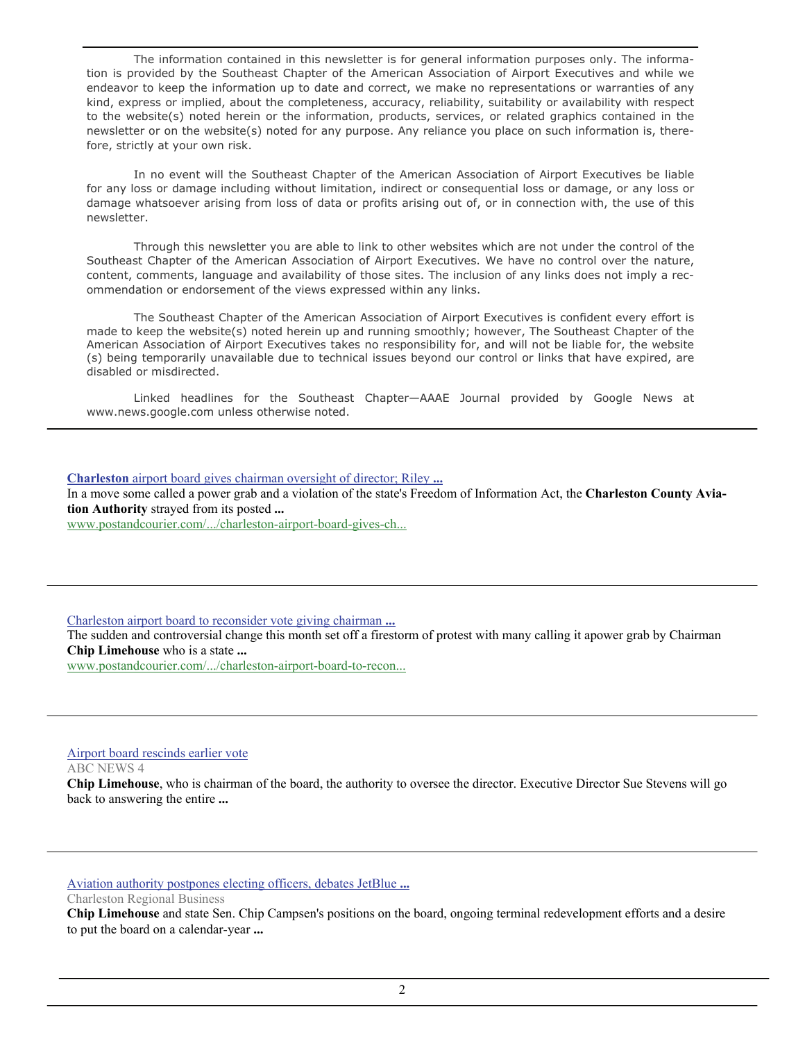The information contained in this newsletter is for general information purposes only. The information is provided by the Southeast Chapter of the American Association of Airport Executives and while we endeavor to keep the information up to date and correct, we make no representations or warranties of any kind, express or implied, about the completeness, accuracy, reliability, suitability or availability with respect to the website(s) noted herein or the information, products, services, or related graphics contained in the newsletter or on the website(s) noted for any purpose. Any reliance you place on such information is, therefore, strictly at your own risk.

 In no event will the Southeast Chapter of the American Association of Airport Executives be liable for any loss or damage including without limitation, indirect or consequential loss or damage, or any loss or damage whatsoever arising from loss of data or profits arising out of, or in connection with, the use of this newsletter.

 Through this newsletter you are able to link to other websites which are not under the control of the Southeast Chapter of the American Association of Airport Executives. We have no control over the nature, content, comments, language and availability of those sites. The inclusion of any links does not imply a recommendation or endorsement of the views expressed within any links.

 The Southeast Chapter of the American Association of Airport Executives is confident every effort is made to keep the website(s) noted herein up and running smoothly; however, The Southeast Chapter of the American Association of Airport Executives takes no responsibility for, and will not be liable for, the website (s) being temporarily unavailable due to technical issues beyond our control or links that have expired, are disabled or misdirected.

 Linked headlines for the Southeast Chapter—AAAE Journal provided by Google News at www.news.google.com unless otherwise noted.

**Charleston** [airport board gives chairman oversight of director; Riley](http://www.google.com/url?sa=X&q=http://www.postandcourier.com/article/20120905/PC05/120909633/1165/charleston-airport-board-gives-chairman-oversight-of-director-riley-others-call-move-violation-of-freedom-of-information-act&ct=ga&cad=CAcQARgBIAEoATAAOABAjsKgggVIAVgAYgVlbi1VUw&cd=SzwKkT7cvM0&usg=AFQjCNGFHu5BM9_zlfslzvgVetvlXd1MNQ) **...** In a move some called a power grab and a violation of the state's Freedom of Information Act, the **Charleston County Aviation Authority** strayed from its posted **...** [www.postandcourier.com/.../charleston-airport-board-gives-ch...](http://www.google.com/url?sa=X&q=http://www.postandcourier.com/article/20120905/PC05/120909633/1165/charleston-airport-board-gives-chairman-oversight-of-director-riley-others-call-move-violation-of-freedom-of-information-act&ct=ga&cad=CAcQARgBIAEoBDAAOABAjsKgggVIAVgAYgVlbi1VUw&cd=SzwKkT7cvM0&usg=AFQjCNGFHu5BM9_zlfslzvgVetvlXd1MNQ)

[Charleston airport board to reconsider vote giving chairman](http://www.google.com/url?sa=X&q=http://www.postandcourier.com/article/20120915/PC16/120919432/1177/charleston-airport-board-to-reconsider-vote-giving-chairman-authority-over-director&ct=ga&cad=CAcQARgBIAEoATAAOABApKjQggVIAVgBYgVlbi1VUw&cd=B-yNcUzMF90&usg=AFQjCNGQSSB00K09uV83ek1kEZ6418cp4w) **...**

The sudden and controversial change this month set off a firestorm of protest with many calling it apower grab by Chairman **Chip Limehouse** who is a state **...**

[www.postandcourier.com/.../charleston-airport-board-to-recon...](http://www.google.com/url?sa=X&q=http://www.postandcourier.com/article/20120915/PC16/120919432/1177/charleston-airport-board-to-reconsider-vote-giving-chairman-authority-over-director&ct=ga&cad=CAcQARgBIAEoBDAAOABApKjQggVIAVgBYgVlbi1VUw&cd=B-yNcUzMF90&usg=AFQjCNGQSSB00K09uV83ek1kEZ6418cp4w)

#### [Airport board rescinds earlier vote](http://www.google.com/url?sa=X&q=http://www.abcnews4.com/story/19567493/airport-board-rescinds-prior-vote&ct=ga&cad=CAcQARgBIAAoATAAOABA4-jeggVIAVgBYgVlbi1VUw&cd=29DNbr0iqiU&usg=AFQjCNGaRCgT-dsQ4eA1TStZwzL7fAILbg)

ABC NEWS 4

**Chip Limehouse**, who is chairman of the board, the authority to oversee the director. Executive Director Sue Stevens will go back to answering the entire **...**

[Aviation authority postpones electing officers, debates JetBlue](http://www.google.com/url?sa=X&q=http://www.charlestonbusiness.com/news/45285-aviation-authority-postpones-electing-officers-debates-jetblue-incentives%3Frss%3D0&ct=ga&cad=CAcQARgBIAAoATAAOABA_cDtggVIAVgBYgVlbi1VUw&cd=9jJPf8P2MUA&usg=AFQjCNEFEMXcOgUd3BXSJOnzsgQoIvLBpQ) **...**

Charleston Regional Business

**Chip Limehouse** and state Sen. Chip Campsen's positions on the board, ongoing terminal redevelopment efforts and a desire to put the board on a calendar-year **...**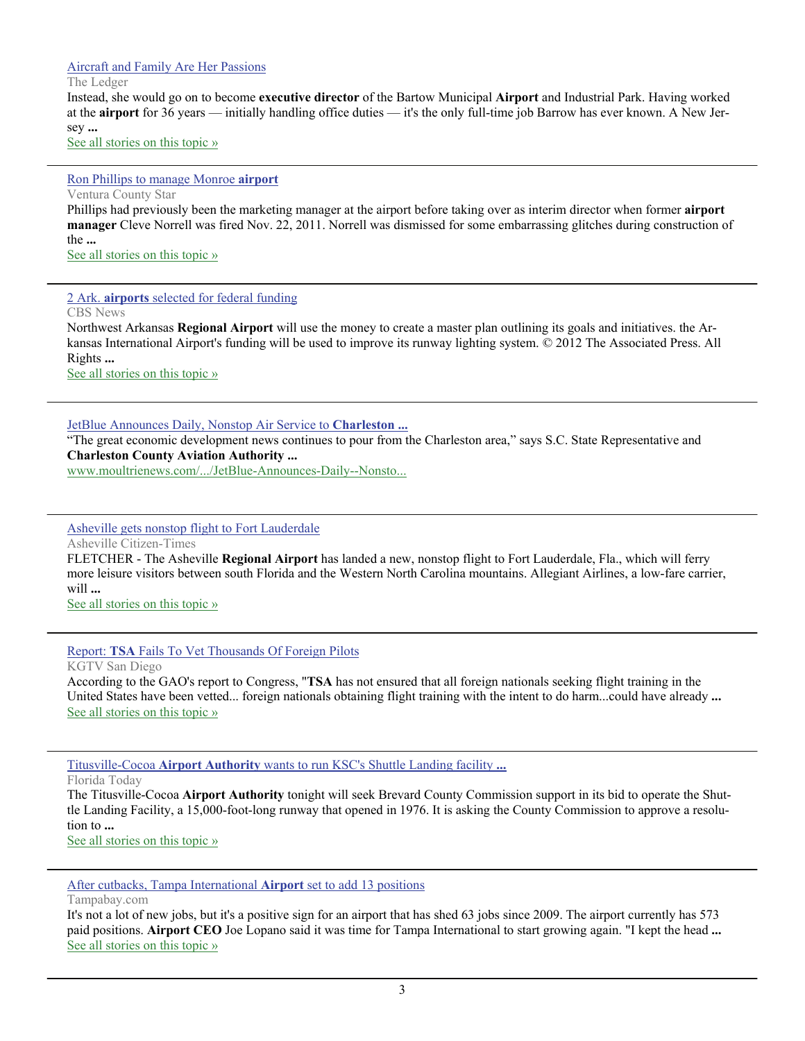#### [Aircraft and Family Are Her Passions](http://www.google.com/url?sa=X&q=http://www.theledger.com/article/20120914/NEWS/120919615/1326%3FTitle%3DAircraft-and-Family-Are-Her-Passions&ct=ga&cad=CAEQAhgAIAAoATAAOABAhYPYggVIAVAAWABiAmVu&cd=b8al29SR7v0&usg=AFQjCNG8d0gSvBf0GQIkBG9Wcd3iMVgikg)

The Ledger

Instead, she would go on to become **executive director** of the Bartow Municipal **Airport** and Industrial Park. Having worked at the **airport** for 36 years — initially handling office duties — it's the only full-time job Barrow has ever known. A New Jersey **...**

[See all stories on this topic »](http://www.google.com/url?sa=X&q=http://news.google.com/news/story%3Fncl%3Dhttp://www.theledger.com/article/20120914/NEWS/120919615/1326%253FTitle%253DAircraft-and-Family-Are-Her-Passions%26hl%3Den%26geo%3Dus&ct=ga&cad=CAEQAhgAIAAoBjAAOABAhYPYggVIAVAAWABiAmVu&cd=b8al29SR7v0&usg=AFQjCNF-3boN4RVAxJBoWdfvf_I69KdJhA)

#### [Ron Phillips to manage Monroe](http://www.google.com/url?sa=X&q=http://www.vcstar.com/news/2012/sep/12/ron-phillips-to-manage-monroe-airport/&ct=ga&cad=CAEQAhgAIAAoATABOAFAwI_EggVIAVAAWABiAmVu&cd=e0YFsLM4Fds&usg=AFQjCNFJFPE490yirhLmHxrlYKxMmiZCIQ) **airport**

Ventura County Star Phillips had previously been the marketing manager at the airport before taking over as interim director when former **airport manager** Cleve Norrell was fired Nov. 22, 2011. Norrell was dismissed for some embarrassing glitches during construction of the **...** [See all stories on this topic »](http://www.google.com/url?sa=X&q=http://news.google.com/news/story%3Fncl%3Dhttp://www.vcstar.com/news/2012/sep/12/ron-phillips-to-manage-monroe-airport/%26hl%3Den%26geo%3Dus&ct=ga&cad=CAEQAhgAIAAoBjABOAFAwI_EggVIAVAAWABiAmVu&cd=e0YFsLM4Fds&usg=AFQjCNE8PNBIWOuvEHfVLFK3jb6lyEo8Ag)

2 Ark. **airports** [selected for federal funding](http://www.google.com/url?sa=X&q=http://www.cbsnews.com/8301-505245_162-57511633/2-ark-airports-selected-for-federal-funding/&ct=ga&cad=CAEQARgAIAAoATACOAJAsJnEggVIAVAAWABiAmVu&cd=Yr4CgJ__ZMo&usg=AFQjCNGk0apXI8krYaJrMsaeHT5sUFngpg)

CBS News

Northwest Arkansas **Regional Airport** will use the money to create a master plan outlining its goals and initiatives. the Arkansas International Airport's funding will be used to improve its runway lighting system. © 2012 The Associated Press. All Rights **...**

[See all stories on this topic »](http://www.google.com/url?sa=X&q=http://news.google.com/news/story%3Fncl%3Dhttp://www.cbsnews.com/8301-505245_162-57511633/2-ark-airports-selected-for-federal-funding/%26hl%3Den%26geo%3Dus&ct=ga&cad=CAEQARgAIAAoBjACOAJAsJnEggVIAVAAWABiAmVu&cd=Yr4CgJ__ZMo&usg=AFQjCNGG3KPzyVrWk9tz5NlqZXGae7at6Q)

[JetBlue Announces Daily, Nonstop Air Service to](http://www.google.com/url?sa=X&q=http://www.moultrienews.com/news/JetBlue-Announces-Daily--Nonstop-Air-Service-to-Charleston-International-Airport&ct=ga&cad=CAcQARgBIAEoATAAOABApOXFggVIAVgAYgVlbi1VUw&cd=NLwohv4taNc&usg=AFQjCNH44Poc4eYJl90MjC8-oeCP4Fxy1A) **Charleston ...**

"The great economic development news continues to pour from the Charleston area," says S.C. State Representative and **Charleston County Aviation Authority ...**

[www.moultrienews.com/.../JetBlue-Announces-Daily--Nonsto...](http://www.google.com/url?sa=X&q=http://www.moultrienews.com/news/JetBlue-Announces-Daily--Nonstop-Air-Service-to-Charleston-International-Airport&ct=ga&cad=CAcQARgBIAEoBDAAOABApOXFggVIAVgAYgVlbi1VUw&cd=NLwohv4taNc&usg=AFQjCNH44Poc4eYJl90MjC8-oeCP4Fxy1A)

#### [Asheville gets nonstop flight to Fort Lauderdale](http://www.google.com/url?sa=X&q=http://www.citizen-times.com/article/20120911/NEWS/309110051/Asheville-gets-nonstop-flight-Fort-Lauderdale%3Fodyssey%3Dmod%257Cnewswell%257Ctext%257CFrontpage%257Cp&ct=ga&cad=CAEQARgAIAAoATAAOABAuLW-ggVIAVAAWABiAmVu&cd=0AuQ6PDTq1g&usg=AFQjCNFsd6DNO__ux0cFr_fsElYUkQE5NQ)

Asheville Citizen-Times

FLETCHER - The Asheville **Regional Airport** has landed a new, nonstop flight to Fort Lauderdale, Fla., which will ferry more leisure visitors between south Florida and the Western North Carolina mountains. Allegiant Airlines, a low-fare carrier, will **...**

[See all stories on this topic »](http://www.google.com/url?sa=X&q=http://news.google.com/news/story%3Fncl%3Dhttp://www.citizen-times.com/article/20120911/NEWS/309110051/Asheville-gets-nonstop-flight-Fort-Lauderdale%253Fodyssey%253Dmod%25257Cnewswell%25257Ctext%25257CFrontpage%25257Cp%26hl%3Den%26geo%3Dus&ct=ga&cad=CAEQARgAIAAoBjAAOABAuLW-ggVIAVAAWABiAmVu&cd=0AuQ6PDTq1g&usg=AFQjCNGJOsdsK5pXDSrzWLaQuc9yDccfOQ)

#### Report: **TSA** [Fails To Vet Thousands Of Foreign Pilots](http://www.google.com/url?sa=X&q=http://www.10news.com/news/31424485/detail.html&ct=ga&cad=CAEQARgAIAAoATAAOABAx6q6ggVIAVAAWABiAmVu&cd=TXWTPK3Sr0U&usg=AFQjCNEjGIgtBQTGiLB6vEHCHYfc2k_5Fw)

KGTV San Diego

According to the GAO's report to Congress, "**TSA** has not ensured that all foreign nationals seeking flight training in the United States have been vetted... foreign nationals obtaining flight training with the intent to do harm...could have already **...** [See all stories on this topic »](http://www.google.com/url?sa=X&q=http://news.google.com/news/story%3Fncl%3Dhttp://www.10news.com/news/31424485/detail.html%26hl%3Den%26geo%3Dus&ct=ga&cad=CAEQARgAIAAoBjAAOABAx6q6ggVIAVAAWABiAmVu&cd=TXWTPK3Sr0U&usg=AFQjCNGIF7dPJRYkSobPC6WbaPI-1XGKMA)

Titusville-Cocoa **Airport Authority** [wants to run KSC's Shuttle Landing facility](http://www.google.com/url?sa=X&q=http://www.floridatoday.com/article/20120911/NEWS01/309110011/Titusville-Cocoa-Airport-Authority-pursues-shuttle-strip%3Fodyssey%3Dnav%257Chead&ct=ga&cad=CAEQAhgAIAAoATAAOABAnOC7ggVIAVAAWABiAmVu&cd=24KhW7P6Ufk&usg=AFQjCNGarIf2lGRbkklUFqXN70uIRMTBsA) **...**

Florida Today

The Titusville-Cocoa **Airport Authority** tonight will seek Brevard County Commission support in its bid to operate the Shuttle Landing Facility, a 15,000-foot-long runway that opened in 1976. It is asking the County Commission to approve a resolution to **...**

[See all stories on this topic »](http://www.google.com/url?sa=X&q=http://news.google.com/news/story%3Fncl%3Dhttp://www.floridatoday.com/article/20120911/NEWS01/309110011/Titusville-Cocoa-Airport-Authority-pursues-shuttle-strip%253Fodyssey%253Dnav%25257Chead%26hl%3Den%26geo%3Dus&ct=ga&cad=CAEQAhgAIAAoBjAAOABAnOC7ggVIAVAAWABiAmVu&cd=24KhW7P6Ufk&usg=AFQjCNE5UMjMqEEdeXbPpOsHgbKc6VjgbA)

[After cutbacks, Tampa International](http://www.google.com/url?sa=X&q=http://www.tampabay.com/news/business/airlines/after-cutbacks-tampa-international-airport-set-to-add-13-positions/1250100&ct=ga&cad=CAEQAhgAIAAoATAAOABA576lggVIAVAAWABiAmVu&cd=XTpgQK-ZG-0&usg=AFQjCNEq987XXWnyhypgHln2XYO6vm6nqQ) **Airport** set to add 13 positions

Tampabay.com

It's not a lot of new jobs, but it's a positive sign for an airport that has shed 63 jobs since 2009. The airport currently has 573 paid positions. **Airport CEO** Joe Lopano said it was time for Tampa International to start growing again. "I kept the head **...** [See all stories on this topic »](http://www.google.com/url?sa=X&q=http://news.google.com/news/story%3Fncl%3Dhttp://www.tampabay.com/news/business/airlines/after-cutbacks-tampa-international-airport-set-to-add-13-positions/1250100%26hl%3Den%26geo%3Dus&ct=ga&cad=CAEQAhgAIAAoBjAAOABA576lggVIAVAAWABiAmVu&cd=XTpgQK-ZG-0&usg=AFQjCNGQRsjfHckSPp2ypjlNGnad_04abQ)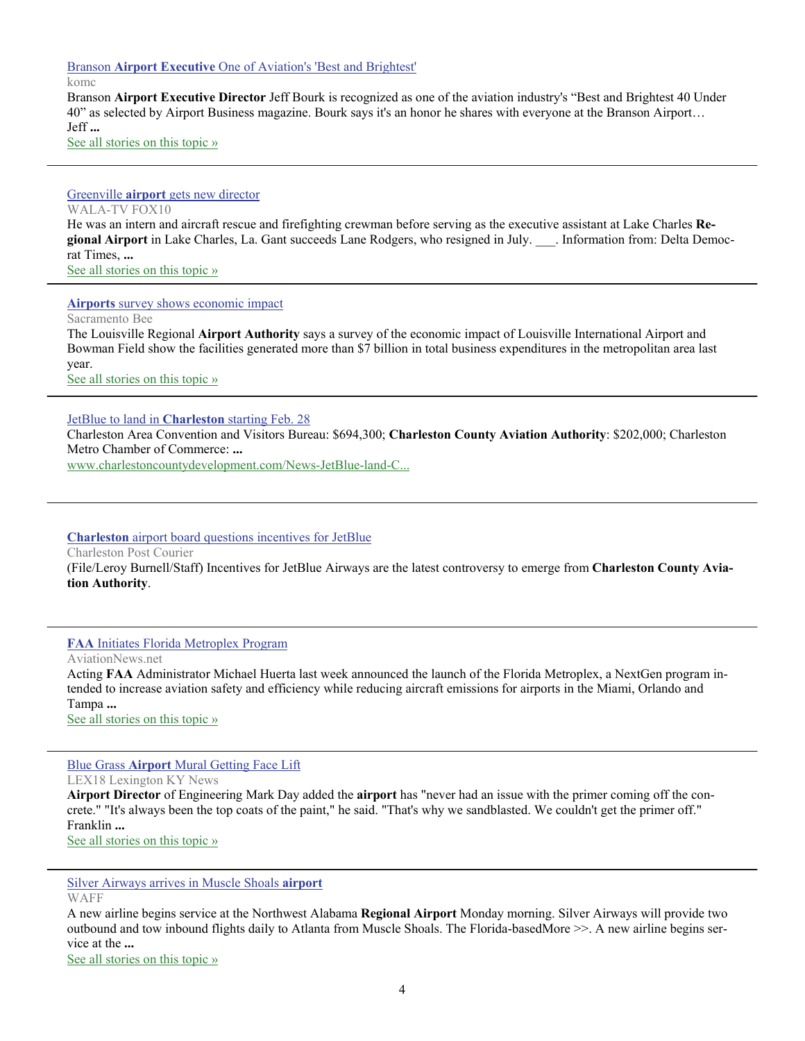Branson **Airport Executive** [One of Aviation's 'Best and Brightest'](http://www.google.com/url?sa=X&q=http://www.komc.com/11854/branson_airport_executive_one_of_aviations_best_and_brightest.html&ct=ga&cad=CAEQAhgAIAAoATAAOABAhOutggVIAVAAWABiAmVu&cd=_29KDEGVDlY&usg=AFQjCNFLDTfjcqAamth86h057zDoiuTxvw)

komc

Branson **Airport Executive Director** Jeff Bourk is recognized as one of the aviation industry's "Best and Brightest 40 Under 40" as selected by Airport Business magazine. Bourk says it's an honor he shares with everyone at the Branson Airport… Jeff **...**

[See all stories on this topic »](http://www.google.com/url?sa=X&q=http://news.google.com/news/story%3Fncl%3Dhttp://www.komc.com/11854/branson_airport_executive_one_of_aviations_best_and_brightest.html%26hl%3Den%26geo%3Dus&ct=ga&cad=CAEQAhgAIAAoBjAAOABAhOutggVIAVAAWABiAmVu&cd=_29KDEGVDlY&usg=AFQjCNEApDBltcCP2k8ckHavKHfL4Hp9gw)

#### Greenville **airport** [gets new director](http://www.google.com/url?sa=X&q=http://www.fox10tv.com/dpp/news/mississippi/ap_mississippi/Greenville-airport-gets-new-director_96488879&ct=ga&cad=CAEQARgAIAAoATAAOABAhayWggVIAVAAWABiAmVu&cd=YmqfToA-Crk&usg=AFQjCNHx1MSk-t94hi8WnTwk-x0Pkk_diw) WALA-TV FOX10 He was an intern and aircraft rescue and firefighting crewman before serving as the executive assistant at Lake Charles **Regional Airport** in Lake Charles, La. Gant succeeds Lane Rodgers, who resigned in July. \_\_\_. Information from: Delta Democ-

rat Times, **...** [See all stories on this topic »](http://www.google.com/url?sa=X&q=http://news.google.com/news/story%3Fncl%3Dhttp://www.fox10tv.com/dpp/news/mississippi/ap_mississippi/Greenville-airport-gets-new-director_96488879%26hl%3Den%26geo%3Dus&ct=ga&cad=CAEQARgAIAAoBjAAOABAhayWggVIAVAAWABiAmVu&cd=YmqfToA-Crk&usg=AFQjCNHFlDa_DNC4Q9QTtUsancjqGCWkGw)

#### **Airports** [survey shows economic impact](http://www.google.com/url?sa=X&q=http://www.sacbee.com/2012/09/24/4848360/airports-survey-shows-economic.html&ct=ga&cad=CAEQARgAIAAoATAAOABAs8GAgwVIAVAAWABiAmVu&cd=q7Z07_Nr_Ks&usg=AFQjCNEkQYIo_WblFp1jHgrZwM1POzo52Q)

Sacramento Bee

The Louisville Regional **Airport Authority** says a survey of the economic impact of Louisville International Airport and Bowman Field show the facilities generated more than \$7 billion in total business expenditures in the metropolitan area last year.

[See all stories on this topic »](http://www.google.com/url?sa=X&q=http://news.google.com/news/story%3Fncl%3Dhttp://www.sacbee.com/2012/09/24/4848360/airports-survey-shows-economic.html%26hl%3Den%26geo%3Dus&ct=ga&cad=CAEQARgAIAAoBjAAOABAs8GAgwVIAVAAWABiAmVu&cd=q7Z07_Nr_Ks&usg=AFQjCNExK-ju2dk-iTDjKE_xpmXu7O092w)

#### [JetBlue to land in](http://www.google.com/url?sa=X&q=http://www.charlestoncountydevelopment.com/News-JetBlue-land-Charleston-starting-Feb-28.aspx&ct=ga&cad=CAcQARgBIAEoATAAOABA64r8ggVIAVgAYgVlbi1VUw&cd=ZXQ_0yW2Srw&usg=AFQjCNEL8ND83tt_fFin_Cyik0zybtl0AA) **Charleston** starting Feb. 28

Charleston Area Convention and Visitors Bureau: \$694,300; **Charleston County Aviation Authority**: \$202,000; Charleston Metro Chamber of Commerce: **...**

[www.charlestoncountydevelopment.com/News-JetBlue-land-C...](http://www.google.com/url?sa=X&q=http://www.charlestoncountydevelopment.com/News-JetBlue-land-Charleston-starting-Feb-28.aspx&ct=ga&cad=CAcQARgBIAEoBDAAOABA64r8ggVIAVgAYgVlbi1VUw&cd=ZXQ_0yW2Srw&usg=AFQjCNEL8ND83tt_fFin_Cyik0zybtl0AA)

#### **Charleston** [airport board questions incentives for JetBlue](http://www.google.com/url?sa=X&q=http://www.postandcourier.com/article/20120920/PC05/120929939&ct=ga&cad=CAcQARgBIAAoATAAOABAttPvggVIAVgBYgVlbi1VUw&cd=3j28M6fEozo&usg=AFQjCNE0khbHaetiGNEdYRJ-T5mbVz8sPA)

Charleston Post Courier

(File/Leroy Burnell/Staff) Incentives for JetBlue Airways are the latest controversy to emerge from **Charleston County Aviation Authority**.

#### **FAA** [Initiates Florida Metroplex Program](http://www.google.com/url?sa=X&q=http://www.aviationnews.net/%3Fdo%3Dheadline%26news_ID%3D210253&ct=ga&cad=CAcQARgAIAAoATAAOABAieD0ggVIAVAAWABiBWVuLVVT&cd=ywT3aqQe1vY&usg=AFQjCNH0Pohf3ZvncF3swkcWZ-ddzGiP_w)

AviationNews.net

Acting **FAA** Administrator Michael Huerta last week announced the launch of the Florida Metroplex, a NextGen program intended to increase aviation safety and efficiency while reducing aircraft emissions for airports in the Miami, Orlando and Tampa **...**

[See all stories on this topic »](http://www.google.com/url?sa=X&q=http://news.google.com/news/story%3Fncl%3Dhttp://www.aviationnews.net/%253Fdo%253Dheadline%2526news_ID%253D210253%26hl%3Den%26geo%3Dus&ct=ga&cad=CAcQARgAIAAoBjAAOABAieD0ggVIAVAAWABiBWVuLVVT&cd=ywT3aqQe1vY&usg=AFQjCNEAzjnzVm9-wYo28gB7aeJlMMVibw)

#### Blue Grass **Airport** [Mural Getting Face Lift](http://www.google.com/url?sa=X&q=http://www.lex18.com/news/blue-grass-airport-mural-getting-face-lift&ct=ga&cad=CAEQAhgAIAAoATACOAJAiJuCgwVIAVAAWABiAmVu&cd=zC0wWB_ihVs&usg=AFQjCNFga2DPV7manbtin8NyeAm4mO8uFw)

LEX18 Lexington KY News **Airport Director** of Engineering Mark Day added the **airport** has "never had an issue with the primer coming off the concrete." "It's always been the top coats of the paint," he said. "That's why we sandblasted. We couldn't get the primer off." Franklin **...** [See all stories on this topic »](http://www.google.com/url?sa=X&q=http://news.google.com/news/story%3Fncl%3Dhttp://www.lex18.com/news/blue-grass-airport-mural-getting-face-lift%26hl%3Den%26geo%3Dus&ct=ga&cad=CAEQAhgAIAAoBjACOAJAiJuCgwVIAVAAWABiAmVu&cd=zC0wWB_ihVs&usg=AFQjCNG5Vnq_DRJpue3vCurMovXQ_AKlHw)

[Silver Airways arrives in Muscle Shoals](http://www.google.com/url?sa=X&q=http://www.waff.com/story/19682226/silver-airways-arrives-in-muscle-shoals-airport&ct=ga&cad=CAEQARgAIAAoATACOAJA7fSmgwVIAVAAWABiAmVu&cd=gxDK_FXOxPE&usg=AFQjCNGfaQLCZsMW0o-J_0uUw6J12Qbogg) **airport**

**WAFF** 

A new airline begins service at the Northwest Alabama **Regional Airport** Monday morning. Silver Airways will provide two outbound and tow inbound flights daily to Atlanta from Muscle Shoals. The Florida-basedMore >>. A new airline begins service at the **...**

[See all stories on this topic »](http://www.google.com/url?sa=X&q=http://news.google.com/news/story%3Fncl%3Dhttp://www.waff.com/story/19682226/silver-airways-arrives-in-muscle-shoals-airport%26hl%3Den%26geo%3Dus&ct=ga&cad=CAEQARgAIAAoBjACOAJA7fSmgwVIAVAAWABiAmVu&cd=gxDK_FXOxPE&usg=AFQjCNHpi8kIug0izLGQiALYKyhqKPBBnw)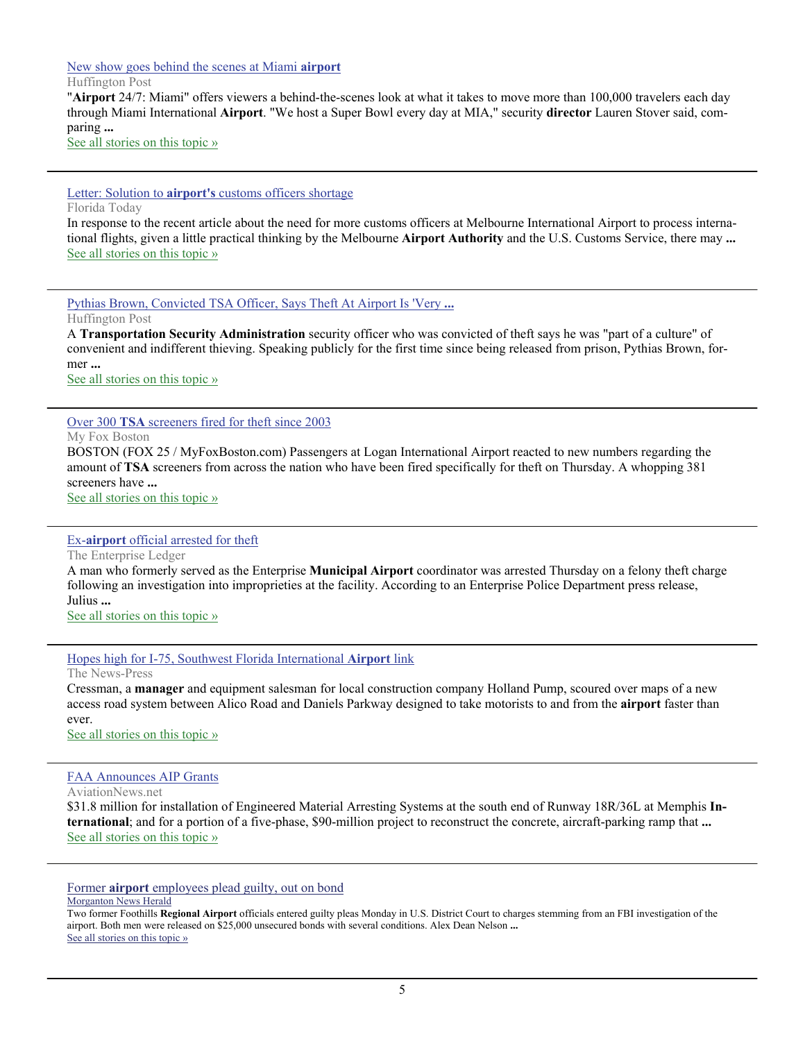#### [New show goes behind the scenes at Miami](http://www.google.com/url?sa=X&q=http://www.huffingtonpost.com/huff-wires/20120930/us-miami-airport-show/&ct=ga&cad=CAEQAhgAIAAoATAAOABAwIWjgwVIAVAAWABiAmVu&cd=1b5eqzrASFg&usg=AFQjCNHC3GbFHApkQEffS2iy0ZFms5l_tg) **airport**

Huffington Post

"**Airport** 24/7: Miami" offers viewers a behind-the-scenes look at what it takes to move more than 100,000 travelers each day through Miami International **Airport**. "We host a Super Bowl every day at MIA," security **director** Lauren Stover said, comparing **...**

[See all stories on this topic »](http://www.google.com/url?sa=X&q=http://news.google.com/news/story%3Fncl%3Dhttp://www.huffingtonpost.com/huff-wires/20120930/us-miami-airport-show/%26hl%3Den%26geo%3Dus&ct=ga&cad=CAEQAhgAIAAoBjAAOABAwIWjgwVIAVAAWABiAmVu&cd=1b5eqzrASFg&usg=AFQjCNHN2ncb4ZDikmGrGUOcrGe5frTuQg)

Letter: Solution to **airport's** [customs officers shortage](http://www.google.com/url?sa=X&q=http://www.floridatoday.com/article/20121001/OPINION/120928014/Letter-Solution-airport-s-customs-officers-shortage&ct=ga&cad=CAEQARgAIAAoATAAOABArdylgwVIAVAAWABiAmVu&cd=ig3SWZfRrQM&usg=AFQjCNHF5VcF_xxmz9l_HzvBNu-SxqQ_7w) Florida Today

In response to the recent article about the need for more customs officers at Melbourne International Airport to process international flights, given a little practical thinking by the Melbourne **Airport Authority** and the U.S. Customs Service, there may **...** [See all stories on this topic »](http://www.google.com/url?sa=X&q=http://news.google.com/news/story%3Fncl%3Dhttp://www.floridatoday.com/article/20121001/OPINION/120928014/Letter-Solution-airport-s-customs-officers-shortage%26hl%3Den%26geo%3Dus&ct=ga&cad=CAEQARgAIAAoBjAAOABArdylgwVIAVAAWABiAmVu&cd=ig3SWZfRrQM&usg=AFQjCNE0WhOLQCfGJClHyKiUIdUvyhVbvw)

[Pythias Brown, Convicted TSA Officer, Says Theft At Airport Is 'Very](http://www.google.com/url?sa=X&q=http://www.huffingtonpost.com/2012/09/28/tsa-screener-pythias-brown-theft-airports-common-convenient-thieving-culture_n_1923003.html&ct=ga&cad=CAEQARgAIAAoATADOANAw5CYgwVIAVAAWABiAmVu&cd=DpEL-QeNWKs&usg=AFQjCNFISA5dLNWxh3Ubo_0CJUgdxmDl8w) **...**

Huffington Post

A **Transportation Security Administration** security officer who was convicted of theft says he was "part of a culture" of convenient and indifferent thieving. Speaking publicly for the first time since being released from prison, Pythias Brown, former **...**

[See all stories on this topic »](http://www.google.com/url?sa=X&q=http://news.google.com/news/story%3Fncl%3Dhttp://www.huffingtonpost.com/2012/09/28/tsa-screener-pythias-brown-theft-airports-common-convenient-thieving-culture_n_1923003.html%26hl%3Den%26geo%3Dus&ct=ga&cad=CAEQARgAIAAoBjADOANAw5CYgwVIAVAAWABiAmVu&cd=DpEL-QeNWKs&usg=AFQjCNGx24A4Jgq_MjGfw_cDVeogxQu1HA)

Over 300 **TSA** [screeners fired for theft since 2003](http://www.google.com/url?sa=X&q=http://www.myfoxboston.com/story/19661536/2012/09/27/over-300-tsa-screeners-fired-for-theft-since-2003&ct=ga&cad=CAEQARgAIAAoATACOAJAntyUgwVIAVAAWABiAmVu&cd=E0QsElKQEMw&usg=AFQjCNH5j-qJ9OFkPb9HL4KzE0TzGhKTlA)

My Fox Boston

BOSTON (FOX 25 / MyFoxBoston.com) Passengers at Logan International Airport reacted to new numbers regarding the amount of **TSA** screeners from across the nation who have been fired specifically for theft on Thursday. A whopping 381 screeners have **...**

[See all stories on this topic »](http://www.google.com/url?sa=X&q=http://news.google.com/news/story%3Fncl%3Dhttp://www.myfoxboston.com/story/19661536/2012/09/27/over-300-tsa-screeners-fired-for-theft-since-2003%26hl%3Den%26geo%3Dus&ct=ga&cad=CAEQARgAIAAoBjACOAJAntyUgwVIAVAAWABiAmVu&cd=E0QsElKQEMw&usg=AFQjCNHFC36uz3z15c9JGsL0Vs-mYd_7kg)

#### Ex-**airport** [official arrested for theft](http://www.google.com/url?sa=X&q=http://www2.eprisenow.com/news/2012/sep/27/ex-airport-official-arrested-theft-ar-4640548/&ct=ga&cad=CAEQARgAIAAoATABOAFAzqSTgwVIAVAAWABiAmVu&cd=GrqsiycVUEE&usg=AFQjCNFhfvUxXyUHEfjxX7BMSp94CQPhYw)

The Enterprise Ledger

A man who formerly served as the Enterprise **Municipal Airport** coordinator was arrested Thursday on a felony theft charge following an investigation into improprieties at the facility. According to an Enterprise Police Department press release, Julius **...**

[See all stories on this topic »](http://www.google.com/url?sa=X&q=http://news.google.com/news/story%3Fncl%3Dhttp://www2.eprisenow.com/news/2012/sep/27/ex-airport-official-arrested-theft-ar-4640548/%26hl%3Den%26geo%3Dus&ct=ga&cad=CAEQARgAIAAoBjABOAFAzqSTgwVIAVAAWABiAmVu&cd=GrqsiycVUEE&usg=AFQjCNGoalzvK5BuRf5fdb73w6Defkws6w)

[Hopes high for I-75, Southwest Florida International](http://www.google.com/url?sa=X&q=http://www.news-press.com/article/20120926/NEWS0115/309260016/Hopes-high-75-Southwest-Florida-International-Airport-link%3Fodyssey%3Dtab%257Ctopnews%257Ctext%257CHome&ct=ga&cad=CAEQAhgAIAAoATAGOAZAwvmNgwVIAVAAWABiAmVu&cd=1-XTGUtnCXo&usg=AFQjCNGccOg4L7prGAH7dgTGLcdMNFLrjA) **Airport** link

The News-Press

Cressman, a **manager** and equipment salesman for local construction company Holland Pump, scoured over maps of a new access road system between Alico Road and Daniels Parkway designed to take motorists to and from the **airport** faster than ever.

[See all stories on this topic »](http://www.google.com/url?sa=X&q=http://news.google.com/news/story%3Fncl%3Dhttp://www.news-press.com/article/20120926/NEWS0115/309260016/Hopes-high-75-Southwest-Florida-International-Airport-link%253Fodyssey%253Dtab%25257Ctopnews%25257Ctext%25257CHome%26hl%3Den%26geo%3Dus&ct=ga&cad=CAEQAhgAIAAoBjAGOAZAwvmNgwVIAVAAWABiAmVu&cd=1-XTGUtnCXo&usg=AFQjCNF-yMQDUZF3MVTFr59S0SO3VVnIrA)

#### [FAA Announces AIP Grants](http://www.google.com/url?sa=X&q=http://www.aviationnews.net/%3Fdo%3Dheadline%26news_ID%3D210364&ct=ga&cad=CAEQARgAIAAoATAAOABAyOKJgwVIAVAAWABiAmVu&cd=e-e5sMN24ws&usg=AFQjCNGYFCf8861TwXuxAi9qjAe7-mv8pw)

AviationNews.net

\$31.8 million for installation of Engineered Material Arresting Systems at the south end of Runway 18R/36L at Memphis **International**; and for a portion of a five-phase, \$90-million project to reconstruct the concrete, aircraft-parking ramp that **...** [See all stories on this topic »](http://www.google.com/url?sa=X&q=http://news.google.com/news/story%3Fncl%3Dhttp://www.aviationnews.net/%253Fdo%253Dheadline%2526news_ID%253D210364%26hl%3Den%26geo%3Dus&ct=ga&cad=CAEQARgAIAAoBjAAOABAyOKJgwVIAVAAWABiAmVu&cd=e-e5sMN24ws&usg=AFQjCNFHrdsP7k3mhF2_IEpJYfyixQcM_Q)

Former **airport** [employees plead guilty, out on bond](http://www.google.com/url?sa=X&q=http://www2.morganton.com/news/2012/sep/24/former-airport-employees-plead-guilty-out-bond-ar-2635237/&ct=ga&cad=CAEQARgAIAAoATABOAFAhrCDgwVIAVAAWABiAmVu&cd=QCoBCxy-qyY&usg=AFQjCNGm3WRl_0WhL2yqmr_vafLIOdz2cQ)

Morganton News Herald

Two former Foothills **Regional Airport** officials entered guilty pleas Monday in U.S. District Court to charges stemming from an FBI investigation of the airport. Both men were released on \$25,000 unsecured bonds with several conditions. Alex Dean Nelson **...** [See all stories on this topic »](http://www.google.com/url?sa=X&q=http://news.google.com/news/story%3Fncl%3Dhttp://www2.morganton.com/news/2012/sep/24/former-airport-employees-plead-guilty-out-bond-ar-2635237/%26hl%3Den%26geo%3Dus&ct=ga&cad=CAEQARgAIAAoBjABOAFAhrCDgwVIAVAAWABiAmVu&cd=QCoBCxy-qyY&usg=AFQjCNGvYRtjHZPqfcYlrx6oPJdyhQ_4Gg)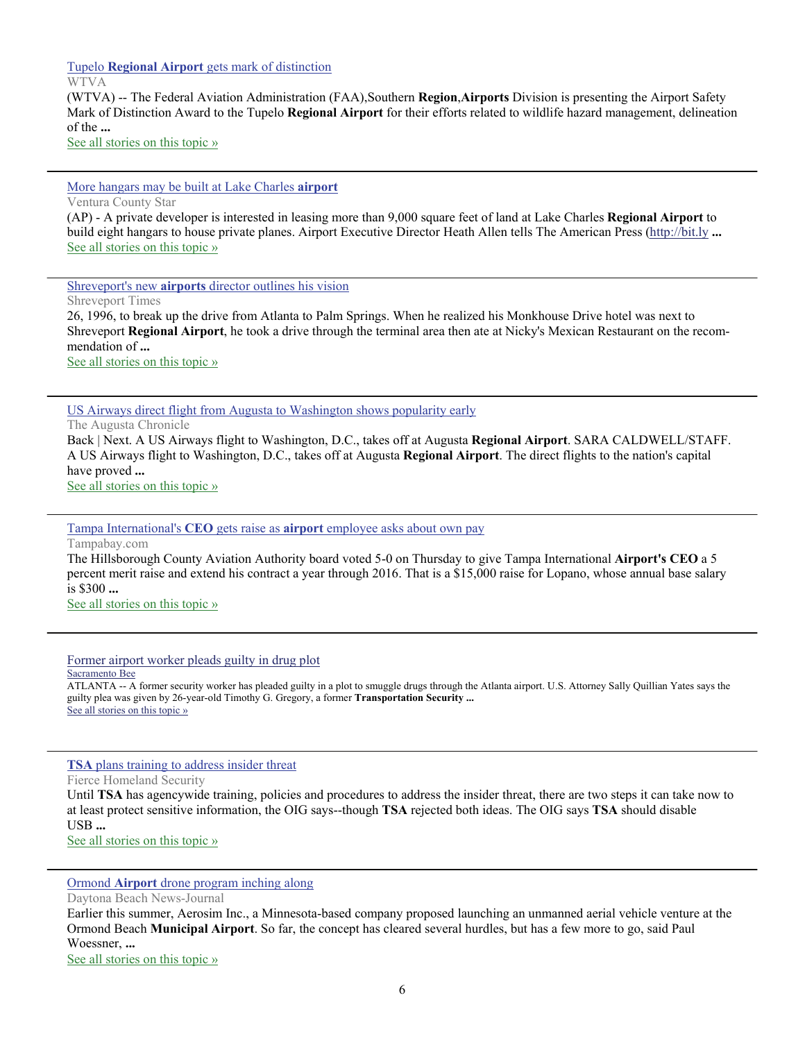Tupelo **Regional Airport** [gets mark of distinction](http://www.google.com/url?sa=X&q=http://www.wtva.com/news/local/story/Tupelo-Regional-Airport-gets-mark-of-distinction/pcY6LceVc02czIjp_rprkw.cspx&ct=ga&cad=CAEQARgAIAAoATAAOABAnYPMgwVIAVAAWABiAmVu&cd=WBuzD30yTBo&usg=AFQjCNG5vrNQRkPHRqJg15h0FNqd3u9iGg)

WTVA

(WTVA) -- The Federal Aviation Administration (FAA),Southern **Region**,**Airports** Division is presenting the Airport Safety Mark of Distinction Award to the Tupelo **Regional Airport** for their efforts related to wildlife hazard management, delineation of the **...**

[See all stories on this topic »](http://www.google.com/url?sa=X&q=http://news.google.com/news/story%3Fncl%3Dhttp://www.wtva.com/news/local/story/Tupelo-Regional-Airport-gets-mark-of-distinction/pcY6LceVc02czIjp_rprkw.cspx%26hl%3Den%26geo%3Dus&ct=ga&cad=CAEQARgAIAAoBjAAOABAnYPMgwVIAVAAWABiAmVu&cd=WBuzD30yTBo&usg=AFQjCNH6Z4ovJYHoyfdE6PGo6cjIZgnT6A)

[More hangars may be built at Lake Charles](http://www.google.com/url?sa=X&q=http://www.vcstar.com/news/2012/oct/06/more-hangars-may-be-built-at-lake-charles/&ct=ga&cad=CAEQARgAIAAoATABOAFA8_PCgwVIAVAAWABiAmVu&cd=TXe35brApNw&usg=AFQjCNGEpcyk9j05R6tuN5V9jAr6dPz4hQ) **airport**

Ventura County Star

(AP) - A private developer is interested in leasing more than 9,000 square feet of land at Lake Charles **Regional Airport** to build eight hangars to house private planes. Airport Executive Director Heath Allen tells The American Press (<http://bit.ly> **...** [See all stories on this topic »](http://www.google.com/url?sa=X&q=http://news.google.com/news/story%3Fncl%3Dhttp://www.vcstar.com/news/2012/oct/06/more-hangars-may-be-built-at-lake-charles/%26hl%3Den%26geo%3Dus&ct=ga&cad=CAEQARgAIAAoBjABOAFA8_PCgwVIAVAAWABiAmVu&cd=TXe35brApNw&usg=AFQjCNHaF0CNr0oQtJLggC8syV82EprIfA)

Shreveport's new **airports** [director outlines his vision](http://www.google.com/url?sa=X&q=http://www.shreveporttimes.com/article/20121007/NEWS05/210060306/Shreveport-s-new-airports-director-outlines-his-vision&ct=ga&cad=CAEQARgAIAAoATAAOABArrjFgwVIAVAAWABiAmVu&cd=cgG01m_MK9E&usg=AFQjCNEsabfktaUjr_oCvnMGsRCtRjhD_w)

Shreveport Times

26, 1996, to break up the drive from Atlanta to Palm Springs. When he realized his Monkhouse Drive hotel was next to Shreveport **Regional Airport**, he took a drive through the terminal area then ate at Nicky's Mexican Restaurant on the recommendation of **...**

[See all stories on this topic »](http://www.google.com/url?sa=X&q=http://news.google.com/news/story%3Fncl%3Dhttp://www.shreveporttimes.com/article/20121007/NEWS05/210060306/Shreveport-s-new-airports-director-outlines-his-vision%26hl%3Den%26geo%3Dus&ct=ga&cad=CAEQARgAIAAoBjAAOABArrjFgwVIAVAAWABiAmVu&cd=cgG01m_MK9E&usg=AFQjCNE0VJov6JUd4xIpf0Wn8mOmzZ8wxw)

[US Airways direct flight from Augusta to Washington shows popularity early](http://www.google.com/url?sa=X&q=http://chronicle.augusta.com/news/business/2012-10-04/us-airways-direct-flight-augusta-washington-shows-popularity-early%3Fv%3D1349450329&ct=ga&cad=CAEQARgAIAAoATAAOABA5Ym9gwVIAVAAWABiAmVu&cd=8eF64V8zql0&usg=AFQjCNHjocynjuC_hcP6o3Vhko82QX4esw)

The Augusta Chronicle

Back | Next. A US Airways flight to Washington, D.C., takes off at Augusta **Regional Airport**. SARA CALDWELL/STAFF. A US Airways flight to Washington, D.C., takes off at Augusta **Regional Airport**. The direct flights to the nation's capital have proved **...**

[See all stories on this topic »](http://www.google.com/url?sa=X&q=http://news.google.com/news/story%3Fncl%3Dhttp://chronicle.augusta.com/news/business/2012-10-04/us-airways-direct-flight-augusta-washington-shows-popularity-early%253Fv%253D1349450329%26hl%3Den%26geo%3Dus&ct=ga&cad=CAEQARgAIAAoBjAAOABA5Ym9gwVIAVAAWABiAmVu&cd=8eF64V8zql0&usg=AFQjCNEj6Ac1Fs9-Y9V4UxFRyKWNAL2Psg)

Tampa International's **CEO** gets raise as **airport** [employee asks about own pay](http://www.google.com/url?sa=X&q=http://www.tampabay.com/news/business/airlines/tampa-internationals-ceo-gets-raise-as-airport-employee-asks-about-own-pay/1254869&ct=ga&cad=CAEQAhgAIAAoATAAOABA7JK5gwVIAVAAWABiAmVu&cd=b4VIgZqZ47Q&usg=AFQjCNEwigSQ1ztalPBTV9jj9gBvJZVFSQ)

Tampabay.com

The Hillsborough County Aviation Authority board voted 5-0 on Thursday to give Tampa International **Airport's CEO** a 5 percent merit raise and extend his contract a year through 2016. That is a \$15,000 raise for Lopano, whose annual base salary is \$300 **...**

[See all stories on this topic »](http://www.google.com/url?sa=X&q=http://news.google.com/news/story%3Fncl%3Dhttp://www.tampabay.com/news/business/airlines/tampa-internationals-ceo-gets-raise-as-airport-employee-asks-about-own-pay/1254869%26hl%3Den%26geo%3Dus&ct=ga&cad=CAEQAhgAIAAoBjAAOABA7JK5gwVIAVAAWABiAmVu&cd=b4VIgZqZ47Q&usg=AFQjCNHbinTLGhRXU5XP2ZkolBddgRZfOQ)

[Former airport worker pleads guilty in drug plot](http://www.google.com/url?sa=X&q=http://www.sacbee.com/2012/10/04/4882367/former-airport-worker-pleads-guilty.html&ct=ga&cad=CAEQARgAIAAoATAAOABA3fC3gwVIAVAAWABiAmVu&cd=hv35MOnB954&usg=AFQjCNEG1NJgUtAv5BN1quVzDCLqnbYFqQ)

Sacramento Bee

ATLANTA -- A former security worker has pleaded guilty in a plot to smuggle drugs through the Atlanta airport. U.S. Attorney Sally Quillian Yates says the guilty plea was given by 26-year-old Timothy G. Gregory, a former **Transportation Security ...** [See all stories on this topic »](http://www.google.com/url?sa=X&q=http://news.google.com/news/story%3Fncl%3Dhttp://www.sacbee.com/2012/10/04/4882367/former-airport-worker-pleads-guilty.html%26hl%3Den%26geo%3Dus&ct=ga&cad=CAEQARgAIAAoBjAAOABA3fC3gwVIAVAAWABiAmVu&cd=hv35MOnB954&usg=AFQjCNF5xovt6wTxPebhkLqDaSOIMS3tiQ)

**TSA** [plans training to address insider threat](http://www.google.com/url?sa=X&q=http://www.fiercehomelandsecurity.com/story/tsa-plans-training-address-insider-threat/2012-10-04&ct=ga&cad=CAEQARgAIAAoATAAOABAifK2gwVIAVAAWABiAmVu&cd=EeepcJAmEaU&usg=AFQjCNFXqy18kqG2yKhw2xThAIJYKuw98A)

Fierce Homeland Security

Until **TSA** has agencywide training, policies and procedures to address the insider threat, there are two steps it can take now to at least protect sensitive information, the OIG says--though **TSA** rejected both ideas. The OIG says **TSA** should disable USB **...**

[See all stories on this topic »](http://www.google.com/url?sa=X&q=http://news.google.com/news/story%3Fncl%3Dhttp://www.fiercehomelandsecurity.com/story/tsa-plans-training-address-insider-threat/2012-10-04%26hl%3Den%26geo%3Dus&ct=ga&cad=CAEQARgAIAAoBjAAOABAifK2gwVIAVAAWABiAmVu&cd=EeepcJAmEaU&usg=AFQjCNGixsDE56EyWbWQ2nIsEzl3GhOyRw)

Ormond **Airport** [drone program inching along](http://www.google.com/url?sa=X&q=http://www.news-journalonline.com/article/20121003/NEWS/310039977/1040%3FTitle%3DOrmond-Airport-drone-program-inching-along&ct=ga&cad=CAEQARgAIAAoATAAOABAzteygwVIAVAAWABiAmVu&cd=_W9Pf6fJlmA&usg=AFQjCNGe_XGtAZCFNnKVfmmyuyNj3ppDeg)

Daytona Beach News-Journal

Earlier this summer, Aerosim Inc., a Minnesota-based company proposed launching an unmanned aerial vehicle venture at the Ormond Beach **Municipal Airport**. So far, the concept has cleared several hurdles, but has a few more to go, said Paul Woessner, **...**

[See all stories on this topic »](http://www.google.com/url?sa=X&q=http://news.google.com/news/story%3Fncl%3Dhttp://www.news-journalonline.com/article/20121003/NEWS/310039977/1040%253FTitle%253DOrmond-Airport-drone-program-inching-along%26hl%3Den%26geo%3Dus&ct=ga&cad=CAEQARgAIAAoBjAAOABAzteygwVIAVAAWABiAmVu&cd=_W9Pf6fJlmA&usg=AFQjCNEJF8Rt0AfzrtAZvERSYrKuEAzHZA)